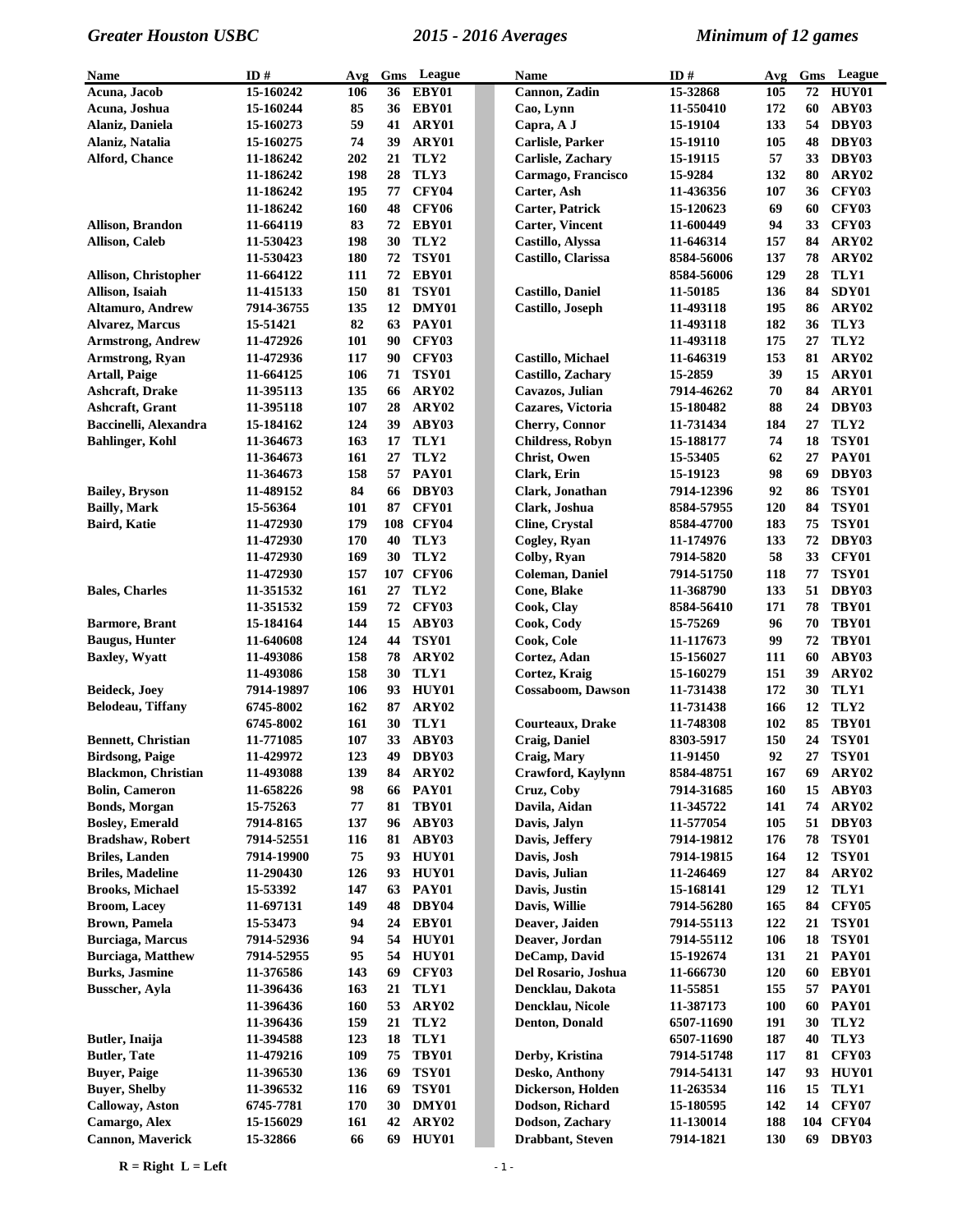| <b>Name</b>                        | ID#                     | Avg        | Gms      | League            | Name                                      | ID#                    | Avg        | Gms      | League                    |
|------------------------------------|-------------------------|------------|----------|-------------------|-------------------------------------------|------------------------|------------|----------|---------------------------|
| Acuna, Jacob                       | 15-160242               | 106        | 36       | EBY01             | Cannon, Zadin                             | 15-32868               | 105        | 72       | HUY01                     |
| Acuna, Joshua                      | 15-160244               | 85         | 36       | EBY01             | Cao, Lynn                                 | 11-550410              | 172        | 60       | ABY03                     |
| Alaniz, Daniela                    | 15-160273               | 59         | 41       | ARY01             | Capra, A J                                | 15-19104               | 133        | 54       | DBY03                     |
| Alaniz, Natalia                    | 15-160275               | 74         | 39       | ARY01             | Carlisle, Parker                          | 15-19110               | 105        | 48       | DBY03                     |
| <b>Alford, Chance</b>              | 11-186242               | 202        | 21       | TLY <sub>2</sub>  | <b>Carlisle, Zachary</b>                  | 15-19115               | 57         | 33       | DBY03                     |
|                                    | 11-186242               | 198        | 28       | TLY3              | Carmago, Francisco                        | 15-9284                | 132        | 80       | ARY02                     |
|                                    | 11-186242               | 195        | 77       | CFY04             | Carter, Ash                               | 11-436356              | 107        | 36       | CFY03                     |
|                                    | 11-186242               | 160        | 48       | <b>CFY06</b>      | <b>Carter, Patrick</b>                    | 15-120623              | 69         | 60       | CFY03                     |
| Allison, Brandon                   | 11-664119               | 83         | 72       | EBY01             | <b>Carter, Vincent</b>                    | 11-600449              | 94         | 33       | <b>CFY03</b>              |
| <b>Allison, Caleb</b>              | 11-530423               | 198        | 30       | TLY2              | Castillo, Alyssa                          | 11-646314              | 157        | 84       | ARY <sub>02</sub>         |
|                                    | 11-530423               | 180        | 72       | TSY01             | Castillo, Clarissa                        | 8584-56006             | 137        | 78       | ARY02                     |
| Allison, Christopher               | 11-664122               | 111        | 72       | EBY01             |                                           | 8584-56006             | 129        | 28       | TLY1                      |
| Allison, Isaiah                    | 11-415133               | 150        | 81       | <b>TSY01</b>      | <b>Castillo, Daniel</b>                   | 11-50185               | 136        | 84       | SDY01                     |
| <b>Altamuro, Andrew</b>            | 7914-36755              | 135        |          | 12 DMY01          | Castillo, Joseph                          | 11-493118              | 195        | 86       | ARY02                     |
| <b>Alvarez, Marcus</b>             | 15-51421                | 82         | 63       | <b>PAY01</b>      |                                           | 11-493118              | 182        | 36       | TLY3                      |
| <b>Armstrong, Andrew</b>           | 11-472926               | 101        | 90       | CFY03             |                                           | 11-493118              | 175        | 27       | TLY2                      |
| Armstrong, Ryan                    | 11-472936               | 117        | 90       | CFY03             | Castillo, Michael                         | 11-646319              | 153        | 81       | ARY <sub>02</sub>         |
| <b>Artall, Paige</b>               | 11-664125               | 106        | 71       | <b>TSY01</b>      | <b>Castillo, Zachary</b>                  | 15-2859                | 39         | 15       | ARY01                     |
| Ashcraft, Drake                    | 11-395113               | 135        | 66       | ARY <sub>02</sub> | Cavazos, Julian                           | 7914-46262             | 70         | 84       | ARY01                     |
| Ashcraft, Grant                    | 11-395118               | 107        | 28       | ARY02             | Cazares, Victoria                         | 15-180482              | 88         | 24       | DBY03                     |
| Baccinelli, Alexandra              | 15-184162               | 124        | 39       | ABY03             | <b>Cherry, Connor</b>                     | 11-731434              | 184        | 27       | TLY <sub>2</sub>          |
| <b>Bahlinger, Kohl</b>             | 11-364673               | 163        | 17       | TLY1              | <b>Childress, Robyn</b>                   | 15-188177              | 74         | 18       | <b>TSY01</b>              |
|                                    | 11-364673               | 161        | 27       | TLY2              | <b>Christ</b> , Owen                      | 15-53405               | 62         | 27       | <b>PAY01</b>              |
|                                    | 11-364673               | 158        | 57       | <b>PAY01</b>      | Clark, Erin                               | 15-19123               | 98         | 69       | DBY03                     |
| <b>Bailey, Bryson</b>              | 11-489152               | 84         | 66       | DBY03             | Clark, Jonathan                           | 7914-12396             | 92         | 86       | <b>TSY01</b>              |
| <b>Bailly, Mark</b>                | 15-56364                | 101        | 87       | CFY01             | Clark, Joshua                             | 8584-57955             | 120        | 84       | <b>TSY01</b>              |
| Baird, Katie                       | 11-472930               | 179        |          | 108 CFY04         | <b>Cline, Crystal</b>                     | 8584-47700             | 183        | 75       | <b>TSY01</b>              |
|                                    | 11-472930               | 170        | 40       | TLY3              | Cogley, Ryan                              | 11-174976              | 133        | 72       | DBY03                     |
|                                    | 11-472930               | 169        | 30       | TLY2              | Colby, Ryan                               | 7914-5820              | 58         | 33       | CFY01                     |
|                                    | 11-472930               | 157        |          | 107 CFY06         | <b>Coleman, Daniel</b>                    | 7914-51750             | 118        | 77       | <b>TSY01</b>              |
| <b>Bales, Charles</b>              | 11-351532               | 161        | 27       | TLY2              | Cone, Blake                               | 11-368790              | 133        | 51       | DBY03                     |
|                                    | 11-351532               | 159        | 72       | CFY03             | Cook, Clay                                | 8584-56410             | 171        | 78       | <b>TBY01</b>              |
| <b>Barmore, Brant</b>              | 15-184164               | 144        | 15       | ABY03             | Cook, Cody                                | 15-75269               | 96         | 70       | TBY01                     |
| <b>Baugus, Hunter</b>              | 11-640608               | 124        | 44       | <b>TSY01</b>      | Cook, Cole                                | 11-117673              | 99         | 72       | TBY01                     |
| <b>Baxley</b> , Wyatt              | 11-493086               | 158        | 78<br>30 | ARY02             | Cortez, Adan                              | 15-156027              | 111        | 60       | ABY03                     |
|                                    | 11-493086               | 158<br>106 | 93       | TLY1<br>HUY01     | Cortez, Kraig<br><b>Cossaboom, Dawson</b> | 15-160279              | 151<br>172 | 39<br>30 | ARY <sub>02</sub><br>TLY1 |
| Beideck, Joey<br>Belodeau, Tiffany | 7914-19897<br>6745-8002 | 162        | 87       | ARY02             |                                           | 11-731438<br>11-731438 | 166        | 12       | TLY2                      |
|                                    | 6745-8002               | 161        | 30       | TLY1              | Courteaux, Drake                          | 11-748308              | 102        | 85       | TBY01                     |
| <b>Bennett, Christian</b>          | 11-771085               | 107        | 33       | ABY03             | <b>Craig, Daniel</b>                      | 8303-5917              | 150        | 24       | <b>TSY01</b>              |
| <b>Birdsong, Paige</b>             | 11-429972               | 123        |          | 49 DBY03          | Craig, Mary                               | 11-91450               | 92         | 27       | <b>TSY01</b>              |
| <b>Blackmon, Christian</b>         | 11-493088               | 139        |          | 84 ARY02          | Crawford, Kaylynn                         | 8584-48751             | 167        | 69       | ARY02                     |
| <b>Bolin, Cameron</b>              | 11-658226               | 98         | 66       | PAY01             | Cruz, Coby                                | 7914-31685             | 160        | 15       | ABY03                     |
| <b>Bonds, Morgan</b>               | 15-75263                | 77         | 81       | TBY01             | Davila, Aidan                             | 11-345722              | 141        | 74       | ARY02                     |
| <b>Bosley</b> , Emerald            | 7914-8165               | 137        | 96       | ABY03             | Davis, Jalyn                              | 11-577054              | 105        | 51       | DBY03                     |
| <b>Bradshaw, Robert</b>            | 7914-52551              | 116        | 81       | ABY03             | Davis, Jeffery                            | 7914-19812             | 176        | 78       | <b>TSY01</b>              |
| <b>Briles, Landen</b>              | 7914-19900              | 75         | 93       | <b>HUY01</b>      | Davis, Josh                               | 7914-19815             | 164        | 12       | <b>TSY01</b>              |
| <b>Briles, Madeline</b>            | 11-290430               | 126        | 93       | HUY01             | Davis, Julian                             | 11-246469              | 127        | 84       | ARY02                     |
| <b>Brooks, Michael</b>             | 15-53392                | 147        | 63       | <b>PAY01</b>      | Davis, Justin                             | 15-168141              | 129        | 12       | TLY1                      |
| <b>Broom, Lacey</b>                | 11-697131               | 149        | 48       | DBY04             | Davis, Willie                             | 7914-56280             | 165        | 84       | <b>CFY05</b>              |
| <b>Brown</b> , Pamela              | 15-53473                | 94         | 24       | EBY01             | Deaver, Jaiden                            | 7914-55113             | 122        | 21       | TSY01                     |
| <b>Burciaga, Marcus</b>            | 7914-52936              | 94         | 54       | HUY01             | Deaver, Jordan                            | 7914-55112             | 106        | 18       | <b>TSY01</b>              |
| <b>Burciaga, Matthew</b>           | 7914-52955              | 95         |          | 54 HUY01          | DeCamp, David                             | 15-192674              | 131        | 21       | PAY01                     |
| <b>Burks, Jasmine</b>              | 11-376586               | 143        | 69       | <b>CFY03</b>      | Del Rosario, Joshua                       | 11-666730              | 120        | 60       | EBY01                     |
| <b>Busscher, Ayla</b>              | 11-396436               | 163        | 21       | TLY1              | Dencklau, Dakota                          | 11-55851               | 155        | 57       | PAY01                     |
|                                    | 11-396436               | <b>160</b> | 53       | ARY02             | Dencklau, Nicole                          | 11-387173              | <b>100</b> | 60       | PAY01                     |
|                                    | 11-396436               | 159        | 21       | TLY2              | Denton, Donald                            | 6507-11690             | 191        | 30       | TLY2                      |
| Butler, Inaija                     | 11-394588               | 123        | 18       | TLY1              |                                           | 6507-11690             | 187        | 40       | TLY3                      |
| <b>Butler, Tate</b>                | 11-479216               | 109        | 75       | TBY01             | Derby, Kristina                           | 7914-51748             | 117        | 81       | <b>CFY03</b>              |
| <b>Buyer, Paige</b>                | 11-396530               | 136        | 69       | <b>TSY01</b>      | Desko, Anthony                            | 7914-54131             | 147        | 93       | HUY01                     |
| <b>Buyer, Shelby</b>               | 11-396532               | 116        | 69       | <b>TSY01</b>      | Dickerson, Holden                         | 11-263534              | 116        | 15       | TLY1                      |
| <b>Calloway, Aston</b>             | 6745-7781               | 170        | 30       | DMY01             | Dodson, Richard                           | 15-180595              | 142        | 14       | <b>CFY07</b>              |
| Camargo, Alex                      | 15-156029               | 161        | 42       | ARY02             | Dodson, Zachary                           | 11-130014              | 188        |          | 104 CFY04                 |
| <b>Cannon, Maverick</b>            | 15-32866                | 66         | 69       | HUY01             | Drabbant, Steven                          | 7914-1821              | 130        |          | 69 DBY03                  |

 $R = Right L = Left$   $1 - 1$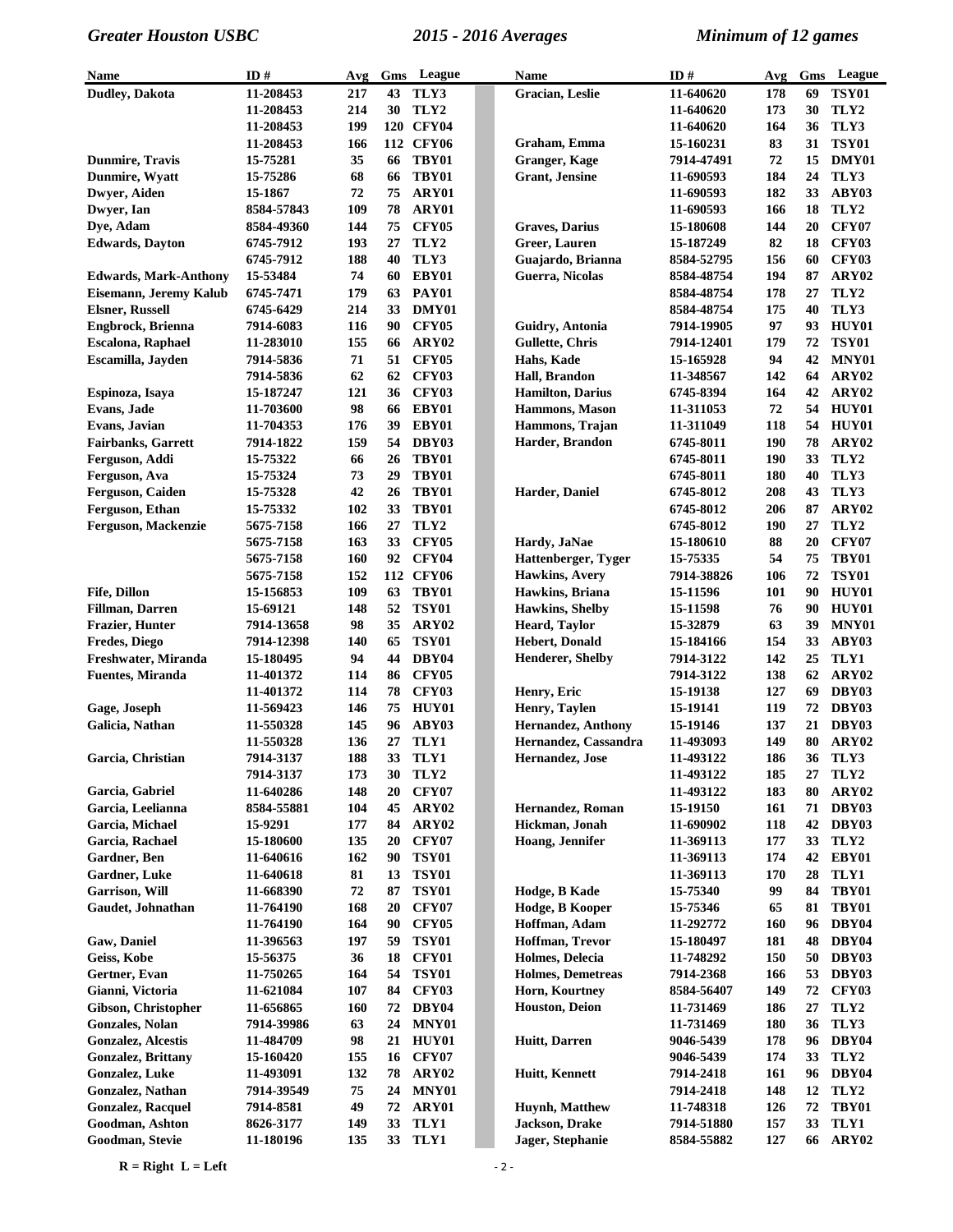| Name                                                   | ID#                    | Avg        | Gms      | League                | Name                                 | ID#                      | Avg        | Gms      | League                |
|--------------------------------------------------------|------------------------|------------|----------|-----------------------|--------------------------------------|--------------------------|------------|----------|-----------------------|
| Dudley, Dakota                                         | 11-208453              | 217        | 43       | TLY3                  | <b>Gracian</b> , Leslie              | 11-640620                | 178        | 69       | <b>TSY01</b>          |
|                                                        | 11-208453              | 214        | 30       | TLY2                  |                                      | 11-640620                | 173        | 30       | TLY2                  |
|                                                        | 11-208453              | 199        |          | 120 CFY04             |                                      | 11-640620                | 164        | 36       | TLY3                  |
|                                                        | 11-208453              | 166        |          | 112 CFY06             | Graham, Emma                         | 15-160231                | 83         | 31       | <b>TSY01</b>          |
| <b>Dunmire, Travis</b>                                 | 15-75281               | 35         | 66       | TBY01                 | <b>Granger, Kage</b>                 | 7914-47491               | 72         | 15       | DMY01                 |
| Dunmire, Wyatt                                         | 15-75286               | 68         | 66       | TBY01                 | <b>Grant</b> , Jensine               | 11-690593                | 184        | 24       | TLY3                  |
| Dwyer, Aiden                                           | 15-1867                | 72         | 75       | ARY01                 |                                      | 11-690593                | 182        | 33       | ABY03                 |
| Dwyer, Ian                                             | 8584-57843             | 109        | 78       | ARY01                 |                                      | 11-690593                | 166        | 18       | TLY2                  |
| Dye, Adam                                              | 8584-49360             | 144        | 75       | <b>CFY05</b>          | <b>Graves</b> , Darius               | 15-180608                | 144        | 20       | <b>CFY07</b>          |
| <b>Edwards</b> , Dayton                                | 6745-7912              | 193        | 27       | TLY2                  | Greer, Lauren                        | 15-187249                | 82         | 18       | CFY03<br><b>CFY03</b> |
|                                                        | 6745-7912<br>15-53484  | 188<br>74  | 40<br>60 | TLY3<br>EBY01         | Guajardo, Brianna<br>Guerra, Nicolas | 8584-52795               | 156<br>194 | 60<br>87 | ARY02                 |
| <b>Edwards, Mark-Anthony</b><br>Eisemann, Jeremy Kalub | 6745-7471              | 179        | 63       | <b>PAY01</b>          |                                      | 8584-48754<br>8584-48754 | 178        | 27       | TLY2                  |
| <b>Elsner, Russell</b>                                 | 6745-6429              | 214        | 33       | DMY01                 |                                      | 8584-48754               | 175        | 40       | TLY3                  |
| Engbrock, Brienna                                      | 7914-6083              | 116        | 90       | <b>CFY05</b>          | Guidry, Antonia                      | 7914-19905               | 97         | 93       | <b>HUY01</b>          |
| Escalona, Raphael                                      | 11-283010              | 155        | 66       | ARY02                 | <b>Gullette, Chris</b>               | 7914-12401               | 179        | 72       | <b>TSY01</b>          |
| Escamilla, Jayden                                      | 7914-5836              | 71         | 51       | <b>CFY05</b>          | Hahs, Kade                           | 15-165928                | 94         | 42       | MNY01                 |
|                                                        | 7914-5836              | 62         | 62       | CFY03                 | Hall, Brandon                        | 11-348567                | 142        | 64       | ARY02                 |
| Espinoza, Isaya                                        | 15-187247              | 121        | 36       | CFY03                 | <b>Hamilton, Darius</b>              | 6745-8394                | 164        | 42       | ARY02                 |
| Evans, Jade                                            | 11-703600              | 98         | 66       | EBY01                 | Hammons, Mason                       | 11-311053                | 72         | 54       | HUY01                 |
| Evans, Javian                                          | 11-704353              | 176        | 39       | EBY01                 | Hammons, Trajan                      | 11-311049                | 118        |          | 54 HUY01              |
| <b>Fairbanks, Garrett</b>                              | 7914-1822              | 159        | 54       | DBY03                 | Harder, Brandon                      | 6745-8011                | 190        | 78       | ARY02                 |
| Ferguson, Addi                                         | 15-75322               | 66         | 26       | TBY01                 |                                      | 6745-8011                | 190        | 33       | TLY2                  |
| Ferguson, Ava                                          | 15-75324               | 73         | 29       | TBY01                 |                                      | 6745-8011                | 180        | 40       | TLY3                  |
| Ferguson, Caiden                                       | 15-75328               | 42         | 26       | TBY01                 | Harder, Daniel                       | 6745-8012                | 208        | 43       | TLY3                  |
| Ferguson, Ethan                                        | 15-75332               | 102        | 33       | TBY01                 |                                      | 6745-8012                | 206        | 87       | ARY02                 |
| Ferguson, Mackenzie                                    | 5675-7158              | 166        | 27       | TLY2                  |                                      | 6745-8012                | 190        | 27       | TLY2                  |
|                                                        | 5675-7158              | 163        | 33       | <b>CFY05</b>          | Hardy, JaNae                         | 15-180610                | 88         | 20       | CFY07                 |
|                                                        | 5675-7158              | 160        | 92       | CFY04                 | Hattenberger, Tyger                  | 15-75335                 | 54         | 75       | TBY01                 |
|                                                        | 5675-7158              | 152        |          | 112 CFY06             | Hawkins, Avery                       | 7914-38826               | 106        | 72       | <b>TSY01</b>          |
| <b>Fife, Dillon</b>                                    | 15-156853              | 109        | 63       | TBY01                 | Hawkins, Briana                      | 15-11596                 | 101        | 90       | HUY01                 |
| <b>Fillman</b> , Darren                                | 15-69121               | 148        | 52       | <b>TSY01</b>          | <b>Hawkins</b> , Shelby              | 15-11598                 | 76         | 90       | HUY01                 |
| Frazier, Hunter                                        | 7914-13658             | 98         | 35       | ARY <sub>02</sub>     | Heard, Taylor                        | 15-32879                 | 63         | 39       | MNY01                 |
| <b>Fredes, Diego</b>                                   | 7914-12398             | 140        | 65       | <b>TSY01</b>          | <b>Hebert, Donald</b>                | 15-184166                | 154        | 33       | ABY03                 |
| Freshwater, Miranda                                    | 15-180495              | 94         | 44       | DBY04<br><b>CFY05</b> | <b>Henderer, Shelby</b>              | 7914-3122<br>7914-3122   | 142        | 25       | TLY1                  |
| <b>Fuentes, Miranda</b>                                | 11-401372<br>11-401372 | 114<br>114 | 86<br>78 | CFY03                 | Henry, Eric                          | 15-19138                 | 138<br>127 | 62<br>69 | ARY02<br>DBY03        |
| Gage, Joseph                                           | 11-569423              | 146        | 75       | HUY01                 | Henry, Taylen                        | 15-19141                 | 119        | 72       | DBY03                 |
| Galicia, Nathan                                        | 11-550328              | 145        | 96       | ABY03                 | Hernandez, Anthony                   | 15-19146                 | 137        | 21       | DBY03                 |
|                                                        | 11-550328              | 136        | 27       | TLY1                  | Hernandez, Cassandra                 | 11-493093                | 149        | 80       | ARY02                 |
| Garcia, Christian                                      | 7914-3137              | 188        | 33       | TLY1                  | Hernandez, Jose                      | 11-493122                | 186        |          | 36 TLY3               |
|                                                        | 7914-3137              | 173        | 30       | TLY2                  |                                      | 11-493122                | 185        | 27       | TLY2                  |
| Garcia, Gabriel                                        | 11-640286              | 148        | 20       | <b>CFY07</b>          |                                      | 11-493122                | 183        | 80       | ARY02                 |
| Garcia, Leelianna                                      | 8584-55881             | 104        | 45       | ARY02                 | Hernandez, Roman                     | 15-19150                 | 161        | 71       | DBY03                 |
| Garcia, Michael                                        | 15-9291                | 177        | 84       | ARY02                 | Hickman, Jonah                       | 11-690902                | 118        | 42       | DBY03                 |
| Garcia, Rachael                                        | 15-180600              | 135        | 20       | <b>CFY07</b>          | Hoang, Jennifer                      | 11-369113                | 177        | 33       | TLY2                  |
| Gardner, Ben                                           | 11-640616              | 162        | 90       | <b>TSY01</b>          |                                      | 11-369113                | 174        | 42       | EBY01                 |
| Gardner, Luke                                          | 11-640618              | 81         | 13       | <b>TSY01</b>          |                                      | 11-369113                | 170        | 28       | TLY1                  |
| <b>Garrison, Will</b>                                  | 11-668390              | 72         | 87       | <b>TSY01</b>          | Hodge, B Kade                        | 15-75340                 | 99         | 84       | TBY01                 |
| Gaudet, Johnathan                                      | 11-764190              | 168        | 20       | <b>CFY07</b>          | Hodge, B Kooper                      | 15-75346                 | 65         | 81       | TBY01                 |
|                                                        | 11-764190              | 164        | 90       | CFY05                 | Hoffman, Adam                        | 11-292772                | 160        | 96       | DBY04                 |
| Gaw, Daniel                                            | 11-396563              | 197        | 59       | <b>TSY01</b>          | Hoffman, Trevor                      | 15-180497                | 181        | 48       | DBY04                 |
| Geiss, Kobe                                            | 15-56375               | 36         | 18       | <b>CFY01</b>          | Holmes, Delecia                      | 11-748292                | 150        | 50       | DBY03                 |
| Gertner, Evan                                          | 11-750265              | 164        | 54       | <b>TSY01</b>          | <b>Holmes, Demetreas</b>             | 7914-2368                | 166        | 53       | DBY03                 |
| Gianni, Victoria                                       | 11-621084              | 107        | 84       | CFY03                 | Horn, Kourtney                       | 8584-56407               | 149        | 72       | CFY03                 |
| Gibson, Christopher                                    | 11-656865              | 160        | 72       | DBY04                 | <b>Houston, Deion</b>                | 11-731469                | 186        | 27       | TLY2                  |
| Gonzales, Nolan                                        | 7914-39986             | 63         | 24       | MNY01                 |                                      | 11-731469                | <b>180</b> | 36       | TLY3                  |
| <b>Gonzalez, Alcestis</b>                              | 11-484709              | 98<br>155  | 21       | HUY01<br><b>CFY07</b> | Huitt, Darren                        | 9046-5439<br>9046-5439   | 178<br>174 | 96<br>33 | DBY04<br>TLY2         |
| <b>Gonzalez, Brittany</b><br>Gonzalez, Luke            | 15-160420<br>11-493091 | 132        | 16<br>78 | ARY02                 | Huitt, Kennett                       | 7914-2418                | 161        | 96       | DBY04                 |
| Gonzalez, Nathan                                       | 7914-39549             | 75         | 24       | MNY01                 |                                      | 7914-2418                | 148        | 12       | TLY2                  |
| Gonzalez, Racquel                                      | 7914-8581              | 49         | 72       | ARY01                 | Huynh, Matthew                       | 11-748318                | 126        | 72       | TBY01                 |
| Goodman, Ashton                                        | 8626-3177              | 149        | 33       | TLY1                  | Jackson, Drake                       | 7914-51880               | 157        | 33       | TLY1                  |
| Goodman, Stevie                                        | 11-180196              | 135        | 33       | TLY1                  | Jager, Stephanie                     | 8584-55882               | 127        | 66       | ARY02                 |

 $R = Right L = Left$   $2 - 2$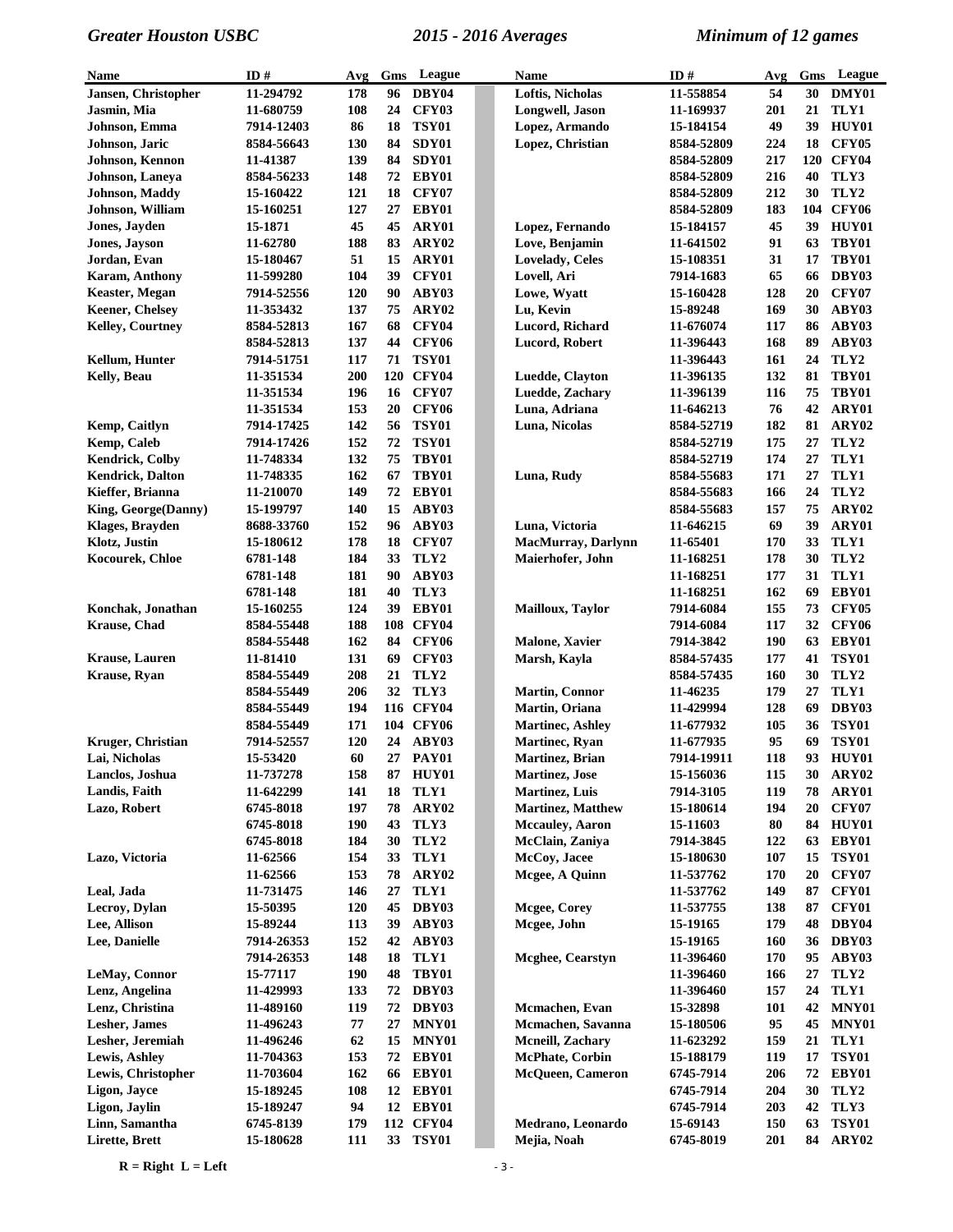| Name                    | ID#        | Avg        | Gms | League            | <b>Name</b>              | ID#        | Avg        | Gms | League            |
|-------------------------|------------|------------|-----|-------------------|--------------------------|------------|------------|-----|-------------------|
| Jansen, Christopher     | 11-294792  | 178        | 96  | DBY04             | Loftis, Nicholas         | 11-558854  | 54         | 30  | DMY01             |
| Jasmin, Mia             | 11-680759  | 108        | 24  | CFY03             | Longwell, Jason          | 11-169937  | 201        | 21  | TLY1              |
| Johnson, Emma           | 7914-12403 | 86         | 18  | <b>TSY01</b>      | Lopez, Armando           | 15-184154  | 49         | 39  | HUY01             |
| Johnson, Jaric          | 8584-56643 | 130        | 84  | SDY01             | Lopez, Christian         | 8584-52809 | 224        | 18  | <b>CFY05</b>      |
| Johnson, Kennon         | 11-41387   | 139        | 84  | SDY01             |                          | 8584-52809 | 217        |     | 120 CFY04         |
| Johnson, Laneya         | 8584-56233 | 148        | 72  | EBY01             |                          | 8584-52809 | 216        | 40  | TLY3              |
| Johnson, Maddy          | 15-160422  | 121        | 18  | <b>CFY07</b>      |                          | 8584-52809 | 212        | 30  | TLY2              |
| Johnson, William        | 15-160251  | 127        | 27  | EBY01             |                          | 8584-52809 | 183        |     | 104 CFY06         |
| <b>Jones, Jayden</b>    | 15-1871    | 45         | 45  | ARY01             | Lopez, Fernando          | 15-184157  | 45         | 39  | HUY01             |
| Jones, Jayson           | 11-62780   | 188        | 83  | ARY02             | Love, Benjamin           | 11-641502  | 91         | 63  | TBY01             |
| Jordan, Evan            | 15-180467  | 51         | 15  | ARY01             | <b>Lovelady</b> , Celes  | 15-108351  | 31         | 17  | TBY01             |
| <b>Karam, Anthony</b>   | 11-599280  | 104        | 39  | <b>CFY01</b>      | Lovell, Ari              | 7914-1683  | 65         | 66  | DBY03             |
| <b>Keaster, Megan</b>   | 7914-52556 | <b>120</b> | 90  | ABY03             | Lowe, Wyatt              | 15-160428  | 128        | 20  | <b>CFY07</b>      |
| <b>Keener, Chelsey</b>  | 11-353432  | 137        | 75  | ARY <sub>02</sub> | Lu, Kevin                | 15-89248   | 169        | 30  | ABY03             |
| <b>Kelley, Courtney</b> | 8584-52813 | 167        | 68  | CFY04             | Lucord, Richard          | 11-676074  | 117        | 86  | ABY03             |
|                         | 8584-52813 | 137        | 44  | <b>CFY06</b>      | Lucord, Robert           | 11-396443  | 168        | 89  | ABY03             |
| Kellum, Hunter          | 7914-51751 | 117        | 71  | <b>TSY01</b>      |                          | 11-396443  | 161        | 24  | TLY2              |
| <b>Kelly, Beau</b>      | 11-351534  | 200        | 120 | CFY04             | Luedde, Clayton          | 11-396135  | 132        | 81  | TBY01             |
|                         | 11-351534  | 196        | 16  | CFY07             | Luedde, Zachary          | 11-396139  | 116        | 75  | TBY01             |
|                         | 11-351534  | 153        | 20  | <b>CFY06</b>      | Luna, Adriana            | 11-646213  | 76         | 42  | ARY01             |
| Kemp, Caitlyn           | 7914-17425 | 142        | 56  | <b>TSY01</b>      | Luna, Nicolas            | 8584-52719 | 182        | 81  | ARY02             |
| Kemp, Caleb             | 7914-17426 | 152        | 72  | <b>TSY01</b>      |                          | 8584-52719 | 175        | 27  | TLY2              |
| Kendrick, Colby         | 11-748334  | 132        | 75  | TBY01             |                          | 8584-52719 | 174        | 27  | TLY1              |
| Kendrick, Dalton        | 11-748335  | 162        | 67  | TBY01             | Luna, Rudy               | 8584-55683 | 171        | 27  | TLY1              |
| Kieffer, Brianna        | 11-210070  | 149        | 72  | EBY01             |                          | 8584-55683 | 166        | 24  | TLY2              |
| King, George(Danny)     | 15-199797  | 140        | 15  | ABY03             |                          | 8584-55683 | 157        | 75  | ARY02             |
| Klages, Brayden         | 8688-33760 | 152        | 96  | ABY03             | Luna, Victoria           | 11-646215  | 69         | 39  | ARY01             |
| Klotz, Justin           | 15-180612  | 178        | 18  | <b>CFY07</b>      | MacMurray, Darlynn       | 11-65401   | 170        | 33  | TLY1              |
| Kocourek, Chloe         | 6781-148   | 184        | 33  | TLY2              | Maierhofer, John         | 11-168251  | 178        | 30  | TLY2              |
|                         | 6781-148   | 181        | 90  | ABY03             |                          | 11-168251  | 177        | 31  | TLY1              |
|                         | 6781-148   | 181        | 40  | TLY3              |                          | 11-168251  | 162        | 69  | EBY01             |
| Konchak, Jonathan       | 15-160255  | 124        | 39  | EBY01             | Mailloux, Taylor         | 7914-6084  | 155        | 73  | CFY <sub>05</sub> |
| <b>Krause</b> , Chad    | 8584-55448 | 188        |     | 108 CFY04         |                          | 7914-6084  | 117        | 32  | CFY06             |
|                         | 8584-55448 | 162        | 84  | <b>CFY06</b>      | <b>Malone, Xavier</b>    | 7914-3842  | 190        | 63  | EBY01             |
| <b>Krause</b> , Lauren  | 11-81410   | 131        | 69  | CFY03             | Marsh, Kayla             | 8584-57435 | 177        | 41  | <b>TSY01</b>      |
| <b>Krause</b> , Ryan    | 8584-55449 | 208        | 21  | TLY2              |                          | 8584-57435 | <b>160</b> | 30  | TLY2              |
|                         | 8584-55449 | 206        | 32  | TLY3              | <b>Martin, Connor</b>    | 11-46235   | 179        | 27  | TLY1              |
|                         | 8584-55449 | 194        |     | 116 CFY04         | Martin, Oriana           | 11-429994  | 128        | 69  | DBY03             |
|                         | 8584-55449 | 171        |     | 104 CFY06         | <b>Martinec, Ashley</b>  | 11-677932  | 105        | 36  | <b>TSY01</b>      |
| Kruger, Christian       | 7914-52557 | 120        |     | 24 ABY03          | Martinec, Ryan           | 11-677935  | 95         | 69  | <b>TSY01</b>      |
| Lai, Nicholas           | 15-53420   | 60         |     | 27 PAY01          | Martinez, Brian          | 7914-19911 | 118        |     | 93 HUY01          |
| Lanclos, Joshua         | 11-737278  | 158        |     | 87 HUY01          | <b>Martinez</b> , Jose   | 15-156036  | 115        | 30  | ARY02             |
| Landis, Faith           | 11-642299  | 141        | 18  | TLY1              | Martinez, Luis           | 7914-3105  | 119        | 78  | ARY01             |
| Lazo, Robert            | 6745-8018  | 197        | 78  | ARY02             | Martinez, Matthew        | 15-180614  | 194        | 20  | <b>CFY07</b>      |
|                         | 6745-8018  | 190        | 43  | TLY3              | <b>Mccauley</b> , Aaron  | 15-11603   | 80         | 84  | <b>HUY01</b>      |
|                         | 6745-8018  | 184        | 30  | TLY <sub>2</sub>  | McClain, Zaniya          | 7914-3845  | 122        | 63  | EBY01             |
| Lazo, Victoria          | 11-62566   | 154        | 33  | TLY1              | McCoy, Jacee             | 15-180630  | 107        | 15  | TSY01             |
|                         | 11-62566   | 153        | 78  | ARY02             | Mcgee, A Quinn           | 11-537762  | 170        | 20  | <b>CFY07</b>      |
| Leal, Jada              | 11-731475  | 146        | 27  | TLY1              |                          | 11-537762  | 149        | 87  | CFY01             |
| Lecroy, Dylan           | 15-50395   | 120        | 45  | DBY03             | Mcgee, Corey             | 11-537755  | 138        | 87  | CFY01             |
| Lee, Allison            | 15-89244   | 113        | 39  | ABY03             | Mcgee, John              | 15-19165   | 179        | 48  | DBY04             |
| Lee, Danielle           | 7914-26353 | 152        | 42  | ABY03             |                          | 15-19165   | <b>160</b> | 36  | DBY03             |
|                         | 7914-26353 | 148        | 18  | TLY1              | <b>Mcghee, Cearstyn</b>  | 11-396460  | 170        | 95  | ABY03             |
| <b>LeMay, Connor</b>    | 15-77117   | 190        | 48  | TBY01             |                          | 11-396460  | 166        | 27  | TLY2              |
| Lenz, Angelina          | 11-429993  | 133        | 72  | DBY03             |                          | 11-396460  | 157        | 24  | TLY1              |
| Lenz, Christina         | 11-489160  | 119        | 72  | DBY03             | Mcmachen, Evan           | 15-32898   | <b>101</b> | 42  | MNY01             |
| Lesher, James           | 11-496243  | 77         | 27  | MNY01             | Mcmachen, Savanna        | 15-180506  | 95         | 45  | MNY01             |
| Lesher, Jeremiah        | 11-496246  | 62         | 15  | MNY01             | <b>Mcneill</b> , Zachary | 11-623292  | 159        | 21  | TLY1              |
| Lewis, Ashley           | 11-704363  | 153        | 72  | EBY01             | McPhate, Corbin          | 15-188179  | 119        | 17  | <b>TSY01</b>      |
| Lewis, Christopher      | 11-703604  | 162        | 66  | EBY01             | <b>McQueen, Cameron</b>  | 6745-7914  | 206        | 72  | EBY01             |
| Ligon, Jayce            | 15-189245  | <b>108</b> |     | 12 EBY01          |                          | 6745-7914  | 204        | 30  | TLY2              |
| Ligon, Jaylin           | 15-189247  | 94         | 12  | EBY01             |                          | 6745-7914  | 203        | 42  | TLY3              |
| Linn, Samantha          | 6745-8139  | 179        |     | 112 CFY04         | Medrano, Leonardo        | 15-69143   | 150        | 63  | <b>TSY01</b>      |
| Lirette, Brett          | 15-180628  | 111        |     | 33 TSY01          | Mejia, Noah              | 6745-8019  | 201        |     | 84 ARY02          |

 $R = Right L = Left$   $-3 -$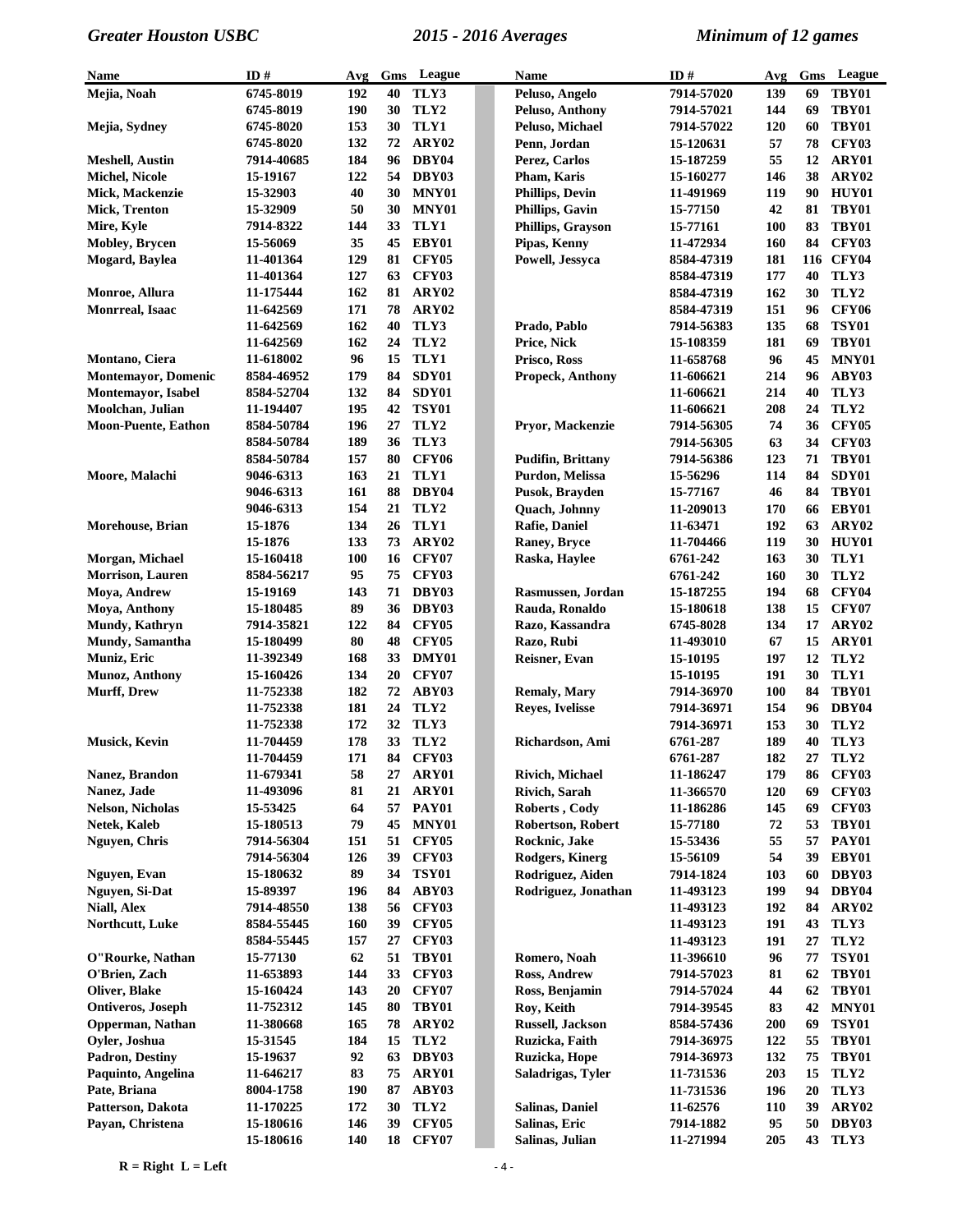| <b>Name</b>                 | ID#                      | Avg        | Gms      | League                       | Name                        | ID#                    | Avg        | Gms      | League            |
|-----------------------------|--------------------------|------------|----------|------------------------------|-----------------------------|------------------------|------------|----------|-------------------|
| Mejia, Noah                 | 6745-8019                | 192        | 40       | TLY3                         | Peluso, Angelo              | 7914-57020             | 139        | 69       | TBY01             |
|                             | 6745-8019                | 190        | 30       | TLY2                         | Peluso, Anthony             | 7914-57021             | 144        | 69       | TBY01             |
| Mejia, Sydney               | 6745-8020                | 153        | 30       | TLY1                         | Peluso, Michael             | 7914-57022             | 120        | 60       | TBY01             |
|                             | 6745-8020                | 132        | 72       | ARY02                        | Penn, Jordan                | 15-120631              | 57         | 78       | <b>CFY03</b>      |
| <b>Meshell, Austin</b>      | 7914-40685               | 184        | 96       | DBY04                        | Perez, Carlos               | 15-187259              | 55         | 12       | ARY01             |
| <b>Michel, Nicole</b>       | 15-19167                 | 122        | 54       | DBY03                        | Pham, Karis                 | 15-160277              | 146        | 38       | ARY02             |
| Mick, Mackenzie             | 15-32903                 | 40         | 30       | MNY01                        | <b>Phillips, Devin</b>      | 11-491969              | 119        | 90       | HUY01             |
| Mick, Trenton               | 15-32909                 | 50         | 30       | MNY01                        | <b>Phillips, Gavin</b>      | 15-77150               | 42         | 81       | TBY01             |
| Mire, Kyle                  | 7914-8322                | 144        | 33       | TLY1                         | Phillips, Grayson           | 15-77161               | <b>100</b> | 83       | TBY01             |
| <b>Mobley</b> , Brycen      | 15-56069                 | 35         |          | 45 EBY01                     | Pipas, Kenny                | 11-472934              | 160        | 84       | CFY03             |
| Mogard, Baylea              | 11-401364                | 129        | 81       | <b>CFY05</b>                 | Powell, Jessyca             | 8584-47319             | 181        |          | 116 CFY04         |
|                             | 11-401364                | 127        | 63       | CFY03                        |                             | 8584-47319             | 177        | 40       | TLY3              |
| Monroe, Allura              | 11-175444                | 162        | 81       | ARY02                        |                             | 8584-47319             | 162        | 30       | TLY2              |
| Monrreal, Isaac             | 11-642569                | 171        | 78       | ARY02                        |                             | 8584-47319             | 151        | 96       | <b>CFY06</b>      |
|                             | 11-642569                | 162<br>162 | 40       | TLY3                         | Prado, Pablo                | 7914-56383             | 135        | 68       | <b>TSY01</b>      |
| Montano, Ciera              | 11-642569<br>11-618002   | 96         | 24<br>15 | TLY2<br>TLY1                 | Price, Nick<br>Prisco, Ross | 15-108359<br>11-658768 | 181<br>96  | 69<br>45 | TBY01<br>MNY01    |
| <b>Montemayor</b> , Domenic | 8584-46952               | 179        | 84       | SDY01                        | Propeck, Anthony            | 11-606621              | 214        | 96       | ABY03             |
| Montemayor, Isabel          | 8584-52704               | 132        | 84       | SDY01                        |                             | 11-606621              | 214        | 40       | TLY3              |
| Moolchan, Julian            | 11-194407                | 195        | 42       | <b>TSY01</b>                 |                             | 11-606621              | 208        | 24       | TLY2              |
| <b>Moon-Puente, Eathon</b>  | 8584-50784               | 196        | 27       | TLY2                         | Pryor, Mackenzie            | 7914-56305             | 74         | 36       | <b>CFY05</b>      |
|                             | 8584-50784               | 189        | 36       | TLY3                         |                             | 7914-56305             | 63         | 34       | <b>CFY03</b>      |
|                             | 8584-50784               | 157        | 80       | <b>CFY06</b>                 | <b>Pudifin, Brittany</b>    | 7914-56386             | 123        | 71       | <b>TBY01</b>      |
| Moore, Malachi              | 9046-6313                | 163        |          | 21 TLY1                      | Purdon, Melissa             | 15-56296               | 114        | 84       | SDY01             |
|                             | 9046-6313                | 161        | 88       | DBY04                        | Pusok, Brayden              | 15-77167               | 46         | 84       | TBY01             |
|                             | 9046-6313                | 154        | 21       | TLY <sub>2</sub>             | Quach, Johnny               | 11-209013              | 170        | 66       | EBY01             |
| Morehouse, Brian            | 15-1876                  | 134        | 26       | TLY1                         | Rafie, Daniel               | 11-63471               | 192        | 63       | ARY02             |
|                             | 15-1876                  | 133        | 73       | ARY02                        | Raney, Bryce                | 11-704466              | 119        | 30       | HUY01             |
| Morgan, Michael             | 15-160418                | 100        | 16       | <b>CFY07</b>                 | Raska, Haylee               | 6761-242               | 163        | 30       | TLY1              |
| Morrison, Lauren            | 8584-56217               | 95         | 75       | CFY03                        |                             | 6761-242               | 160        | 30       | TLY2              |
| Moya, Andrew                | 15-19169                 | 143        | 71       | DBY03                        | Rasmussen, Jordan           | 15-187255              | 194        | 68       | <b>CFY04</b>      |
| Moya, Anthony               | 15-180485                | 89         | 36       | DBY03                        | Rauda, Ronaldo              | 15-180618              | 138        | 15       | <b>CFY07</b>      |
| Mundy, Kathryn              | 7914-35821               | 122        | 84       | CFY05                        | Razo, Kassandra             | 6745-8028              | 134        | 17       | ARY <sub>02</sub> |
| Mundy, Samantha             | 15-180499                | 80         | 48       | CFY05                        | Razo, Rubi                  | 11-493010              | 67         | 15       | ARY01             |
| Muniz, Eric                 | 11-392349                | 168        | 33       | DMY01                        | Reisner, Evan               | 15-10195               | 197        | 12       | TLY2              |
| Munoz, Anthony              | 15-160426                | 134        | 20       | <b>CFY07</b>                 |                             | 15-10195               | 191        | 30       | TLY1              |
| <b>Murff, Drew</b>          | 11-752338                | 182        |          | 72 ABY03                     | <b>Remaly, Mary</b>         | 7914-36970             | <b>100</b> | 84       | <b>TBY01</b>      |
|                             | 11-752338                | 181        | 24       | TLY2                         | <b>Reyes, Ivelisse</b>      | 7914-36971             | 154        | 96       | DBY04             |
|                             | 11-752338                | 172        | 32       | TLY3                         |                             | 7914-36971             | 153        | 30       | TLY2              |
| Musick, Kevin               | 11-704459                | 178        | 33       | TLY2                         | Richardson, Ami             | 6761-287               | 189        | 40       | TLY3              |
|                             | 11-704459                | 171        |          | 84 CFY03                     |                             | 6761-287               | 182        | 27       | TLY2              |
| Nanez, Brandon              | 11-679341                | 58         | 27       | ARY01                        | <b>Rivich, Michael</b>      | 11-186247              | 179        | 86       | <b>CFY03</b>      |
| Nanez, Jade                 | 11-493096                | 81         | 21       | ARY01                        | Rivich, Sarah               | 11-366570              | 120        | 69       | <b>CFY03</b>      |
| <b>Nelson, Nicholas</b>     | 15-53425                 | 64         | 57       | <b>PAY01</b>                 | Roberts, Cody               | 11-186286              | 145        | 69       | <b>CFY03</b>      |
| Netek, Kaleb                | 15-180513                | 79         | 45       | MNY01                        | <b>Robertson, Robert</b>    | 15-77180               | 72         | 53       | TBY01             |
| Nguyen, Chris               | 7914-56304               | 151        | 51       | <b>CFY05</b>                 | Rocknic, Jake               | 15-53436               | 55         | 57       | <b>PAY01</b>      |
|                             | 7914-56304               | 126        | 39       | CFY03                        | Rodgers, Kinerg             | 15-56109               | 54         | 39       | EBY01             |
| Nguyen, Evan                | 15-180632                | 89         | 34       | <b>TSY01</b>                 | Rodriguez, Aiden            | 7914-1824              | 103        | 60       | DBY03             |
| Nguyen, Si-Dat              | 15-89397                 | 196        | 84       | ABY03                        | Rodriguez, Jonathan         | 11-493123              | 199        | 94       | DBY04             |
| <b>Niall, Alex</b>          | 7914-48550               | 138        | 56       | <b>CFY03</b>                 |                             | 11-493123              | 192        | 84       | ARY02             |
| Northcutt, Luke             | 8584-55445<br>8584-55445 | 160<br>157 | 39<br>27 | <b>CFY05</b><br><b>CFY03</b> |                             | 11-493123<br>11-493123 | 191<br>191 | 43<br>27 | TLY3<br>TLY2      |
| O"Rourke, Nathan            | 15-77130                 | 62         | 51       | TBY01                        | Romero, Noah                | 11-396610              | 96         | 77       | <b>TSY01</b>      |
| O'Brien, Zach               | 11-653893                | 144        | 33       | <b>CFY03</b>                 | Ross, Andrew                | 7914-57023             | 81         | 62       | TBY01             |
| Oliver, Blake               | 15-160424                | 143        | 20       | <b>CFY07</b>                 | Ross, Benjamin              | 7914-57024             | 44         | 62       | <b>TBY01</b>      |
| Ontiveros, Joseph           | 11-752312                | 145        | 80       | TBY01                        | Roy, Keith                  | 7914-39545             | 83         | 42       | MNY01             |
| Opperman, Nathan            | 11-380668                | 165        | 78       | ARY02                        | <b>Russell, Jackson</b>     | 8584-57436             | <b>200</b> | 69       | <b>TSY01</b>      |
| Oyler, Joshua               | 15-31545                 | 184        | 15       | TLY2                         | Ruzicka, Faith              | 7914-36975             | 122        | 55       | TBY01             |
| <b>Padron, Destiny</b>      | 15-19637                 | 92         | 63       | DBY03                        | Ruzicka, Hope               | 7914-36973             | 132        | 75       | TBY01             |
| Paquinto, Angelina          | 11-646217                | 83         | 75       | ARY01                        | Saladrigas, Tyler           | 11-731536              | 203        | 15       | TLY <sub>2</sub>  |
| Pate, Briana                | 8004-1758                | 190        | 87       | ABY03                        |                             | 11-731536              | 196        | 20       | TLY3              |
| Patterson, Dakota           | 11-170225                | 172        | 30       | TLY2                         | <b>Salinas, Daniel</b>      | 11-62576               | <b>110</b> | 39       | ARY02             |
| Payan, Christena            | 15-180616                | 146        | 39       | <b>CFY05</b>                 | Salinas, Eric               | 7914-1882              | 95         | 50       | DBY03             |
|                             | 15-180616                | 140        |          | 18 CFY07                     | Salinas, Julian             | 11-271994              | 205        | 43       | TLY3              |

 $R = Right L = Left$   $4 - 4$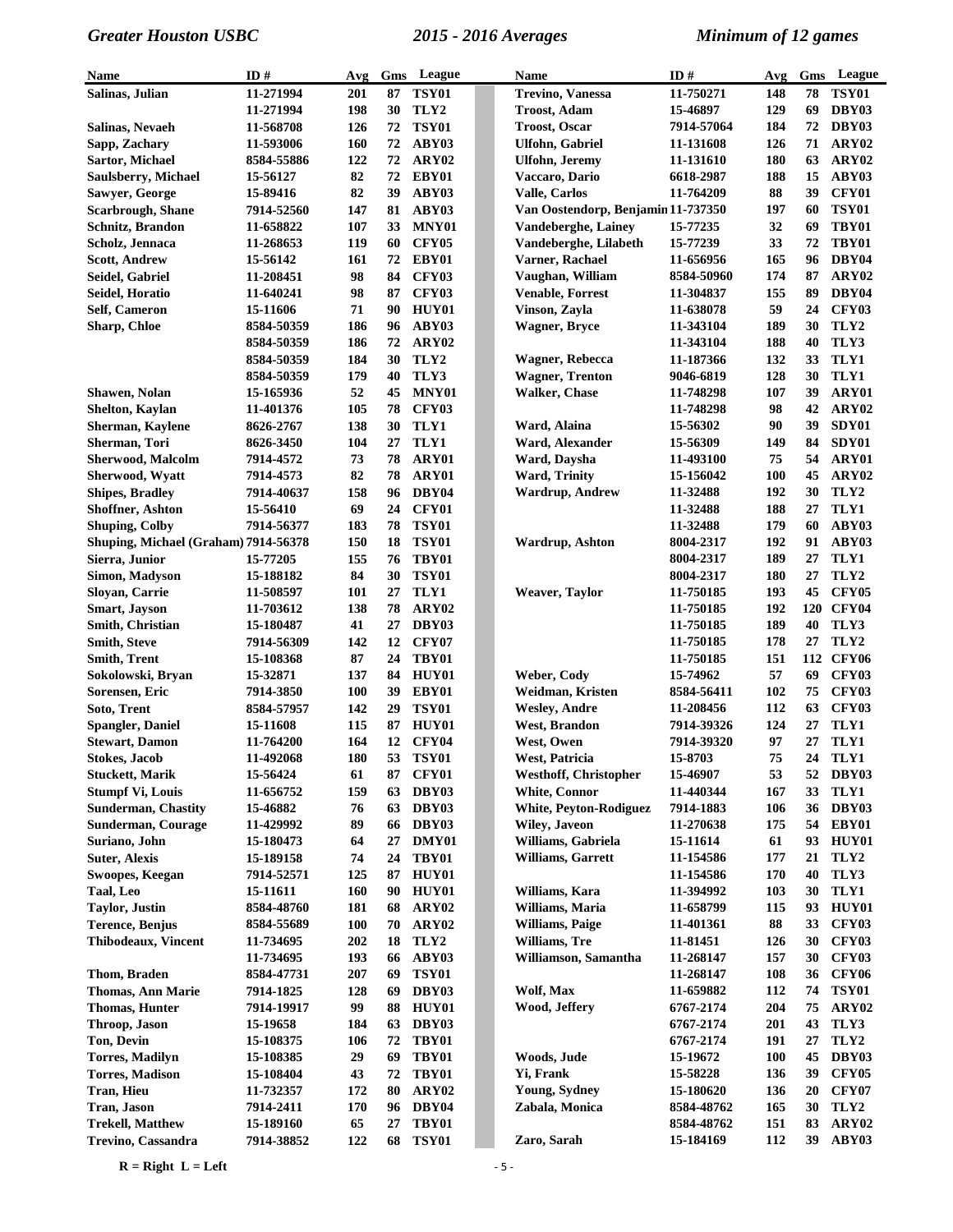| Name                                 | ID#                    | Avg        | Gms      | League                | Name                                      | ID#                    | Avg        | Gms      | League                |
|--------------------------------------|------------------------|------------|----------|-----------------------|-------------------------------------------|------------------------|------------|----------|-----------------------|
| Salinas, Julian                      | 11-271994              | 201        | 87       | <b>TSY01</b>          | <b>Trevino, Vanessa</b>                   | 11-750271              | 148        | 78       | <b>TSY01</b>          |
|                                      | 11-271994              | 198        | 30       | TLY2                  | <b>Troost, Adam</b>                       | 15-46897               | 129        | 69       | DBY03                 |
| Salinas, Nevaeh                      | 11-568708              | 126        | 72       | <b>TSY01</b>          | <b>Troost, Oscar</b>                      | 7914-57064             | 184        | 72       | DBY03                 |
| Sapp, Zachary                        | 11-593006              | 160        | 72       | ABY03                 | Ulfohn, Gabriel                           | 11-131608              | 126        | 71       | ARY <sub>02</sub>     |
| Sartor, Michael                      | 8584-55886             | 122        | 72       | ARY <sub>02</sub>     | Ulfohn, Jeremy                            | 11-131610              | 180        | 63       | ARY <sub>02</sub>     |
| Saulsberry, Michael                  | 15-56127               | 82         | 72       | EBY01                 | Vaccaro, Dario                            | 6618-2987              | 188        | 15       | ABY03                 |
| Sawyer, George                       | 15-89416               | 82         | 39       | ABY03                 | Valle, Carlos                             | 11-764209              | 88         | 39       | <b>CFY01</b>          |
| <b>Scarbrough, Shane</b>             | 7914-52560             | 147        | 81       | ABY03                 | Van Oostendorp, Benjamin 11-737350        |                        | 197        | 60       | <b>TSY01</b>          |
| <b>Schnitz, Brandon</b>              | 11-658822              | 107        | 33       | MNY01                 | Vandeberghe, Lainey                       | 15-77235               | 32         | 69       | TBY01                 |
| Scholz, Jennaca                      | 11-268653              | 119        | 60       | CFY05                 | Vandeberghe, Lilabeth                     | 15-77239               | 33         | 72       | TBY01                 |
| <b>Scott, Andrew</b>                 | 15-56142               | 161        | 72       | EBY01                 | Varner, Rachael                           | 11-656956              | 165        | 96       | DBY04                 |
| Seidel, Gabriel                      | 11-208451              | 98         | 84       | CFY03                 | Vaughan, William                          | 8584-50960             | 174        | 87       | ARY <sub>02</sub>     |
| Seidel, Horatio                      | 11-640241              | 98         | 87       | CFY03                 | <b>Venable, Forrest</b>                   | 11-304837              | 155        | 89       | DBY04                 |
| Self, Cameron                        | 15-11606               | 71         | 90       | HUY01                 | Vinson, Zayla                             | 11-638078              | 59         | 24       | CFY03                 |
| <b>Sharp, Chloe</b>                  | 8584-50359             | 186        | 96       | ABY03                 | <b>Wagner</b> , Bryce                     | 11-343104              | 189        | 30       | TLY2                  |
|                                      | 8584-50359             | 186        | 72       | ARY02                 |                                           | 11-343104              | 188        | 40       | TLY3                  |
|                                      | 8584-50359             | 184        | 30       | TLY2                  | Wagner, Rebecca                           | 11-187366              | 132        | 33       | TLY1                  |
|                                      | 8584-50359             | 179        | 40       | TLY3                  | <b>Wagner, Trenton</b>                    | 9046-6819              | 128        | 30       | TLY1                  |
| Shawen, Nolan                        | 15-165936              | 52         | 45       | MNY01                 | <b>Walker, Chase</b>                      | 11-748298              | 107        | 39       | ARY01                 |
| Shelton, Kaylan                      | 11-401376              | 105        | 78       | <b>CFY03</b>          |                                           | 11-748298              | 98         | 42       | ARY02                 |
| <b>Sherman, Kaylene</b>              | 8626-2767              | 138        | 30       | TLY1                  | Ward, Alaina                              | 15-56302               | 90         | 39       | SDY01                 |
| Sherman, Tori                        | 8626-3450              | 104        | 27       | TLY1                  | Ward, Alexander                           | 15-56309               | 149        | 84       | SDY01                 |
| <b>Sherwood, Malcolm</b>             | 7914-4572              | 73         | 78       | ARY01                 | Ward, Daysha                              | 11-493100              | 75         | 54       | ARY01                 |
| Sherwood, Wyatt                      | 7914-4573              | 82         | 78       | ARY01                 | Ward, Trinity                             | 15-156042              | <b>100</b> | 45       | ARY02                 |
| <b>Shipes, Bradley</b>               | 7914-40637             | 158        | 96       | DBY04                 | <b>Wardrup, Andrew</b>                    | 11-32488               | 192        | 30       | TLY2                  |
| Shoffner, Ashton                     | 15-56410               | 69         | 24       | CFY01                 |                                           | 11-32488               | 188        | 27       | TLY1                  |
| <b>Shuping, Colby</b>                | 7914-56377             | 183        | 78       | <b>TSY01</b>          |                                           | 11-32488               | 179        | 60       | ABY03                 |
| Shuping, Michael (Graham) 7914-56378 |                        | 150        | 18       | <b>TSY01</b>          | Wardrup, Ashton                           | 8004-2317              | 192        | 91       | ABY03                 |
| Sierra, Junior                       | 15-77205               | 155        | 76       | TBY01                 |                                           | 8004-2317              | 189        | 27       | TLY1                  |
| Simon, Madyson                       | 15-188182              | 84         | 30       | <b>TSY01</b>          |                                           | 8004-2317              | 180        | 27       | TLY2                  |
| Sloyan, Carrie                       | 11-508597              | 101        | 27       | TLY1                  | <b>Weaver, Taylor</b>                     | 11-750185              | 193        | 45       | <b>CFY05</b>          |
| <b>Smart, Jayson</b>                 | 11-703612              | 138        | 78       | ARY <sub>02</sub>     |                                           | 11-750185              | 192        | 120      | CFY04                 |
| <b>Smith, Christian</b>              | 15-180487              | 41         | 27       | DBY03                 |                                           | 11-750185              | 189        | 40       | TLY3                  |
| <b>Smith, Steve</b>                  | 7914-56309             | 142        | 12       | <b>CFY07</b>          |                                           | 11-750185              | 178        | 27       | TLY2                  |
| <b>Smith, Trent</b>                  | 15-108368              | 87         | 24       | TBY01                 |                                           | 11-750185              | 151        |          | 112 CFY06             |
| Sokolowski, Bryan                    | 15-32871               | 137        | 84       | HUY01                 | Weber, Cody                               | 15-74962               | 57         | 69       | <b>CFY03</b>          |
| Sorensen, Eric                       | 7914-3850              | <b>100</b> | 39       | EBY01                 | Weidman, Kristen                          | 8584-56411             | 102        | 75       | CFY03                 |
| Soto, Trent                          | 8584-57957             | 142        | 29       | <b>TSY01</b>          | <b>Wesley, Andre</b>                      | 11-208456              | 112        | 63       | CFY03                 |
| <b>Spangler, Daniel</b>              | 15-11608               | 115        | 87       | HUY01                 | West, Brandon                             | 7914-39326             | 124        | 27       | TLY1                  |
| <b>Stewart, Damon</b>                | 11-764200              | 164        | 12       | <b>CFY04</b>          | West, Owen                                | 7914-39320             | 97         | 27       | TLY1                  |
| <b>Stokes, Jacob</b>                 | 11-492068              | 180        | 53       | <b>TSY01</b>          | West, Patricia                            | 15-8703                | 75         | 24       | TLY1                  |
| <b>Stuckett, Marik</b>               | 15-56424               | 61         | 87       | CFY01                 | <b>Westhoff, Christopher</b>              | 15-46907               | 53         |          | 52 DBY03              |
| <b>Stumpf Vi, Louis</b>              | 11-656752              | 159        | 63       | DBY03                 | White, Connor                             | 11-440344              | 167        | 33       | TLY1                  |
| <b>Sunderman, Chastity</b>           | 15-46882               | 76         | 63       | DBY03                 | <b>White, Peyton-Rodiguez</b>             | 7914-1883              | 106        | 36       | DBY03                 |
| <b>Sunderman, Courage</b>            | 11-429992              | 89         | 66       | DBY03                 | <b>Wiley</b> , Javeon                     | 11-270638              | 175        | 54       | EBY01                 |
| Suriano, John                        | 15-180473              | 64         | 27       | DMY01                 | Williams, Gabriela                        | 15-11614               | 61         | 93       | HUY01                 |
| <b>Suter, Alexis</b>                 | 15-189158              | 74         | 24       | TBY01                 | Williams, Garrett                         | 11-154586              | 177        | 21       | TLY2                  |
| Swoopes, Keegan                      | 7914-52571             | 125        | 87       | HUY01                 |                                           | 11-154586              | 170        | 40       | TLY3                  |
| Taal, Leo                            | 15-11611               | 160        | 90       | HUY01                 | Williams, Kara                            | 11-394992              | 103        | 30       | TLY1                  |
| <b>Taylor</b> , Justin               | 8584-48760             | 181        | 68       | ARY02                 | Williams, Maria<br><b>Williams, Paige</b> | 11-658799              | 115        | 93       | HUY01<br>CFY03        |
| <b>Terence</b> , Benjus              | 8584-55689             | <b>100</b> | 70       | ARY02                 |                                           | 11-401361              | 88         | 33       |                       |
| <b>Thibodeaux, Vincent</b>           | 11-734695              | 202        | 18       | TLY2                  | Williams, Tre                             | 11-81451               | 126<br>157 | 30<br>30 | CFY03<br><b>CFY03</b> |
|                                      | 11-734695              | 193<br>207 | 66       | ABY03<br><b>TSY01</b> | Williamson, Samantha                      | 11-268147              | 108        |          | <b>CFY06</b>          |
| <b>Thom, Braden</b>                  | 8584-47731             |            | 69       |                       | Wolf, Max                                 | 11-268147              |            | 36       | <b>TSY01</b>          |
| <b>Thomas, Ann Marie</b>             | 7914-1825              | 128        | 69       | DBY03                 |                                           | 11-659882              | 112        | 74       |                       |
| <b>Thomas, Hunter</b>                | 7914-19917             | 99<br>184  | 88<br>63 | HUY01<br>DBY03        | Wood, Jeffery                             | 6767-2174<br>6767-2174 | 204<br>201 | 75<br>43 | ARY02<br>TLY3         |
| Throop, Jason                        | 15-19658               | 106        | 72       | TBY01                 |                                           |                        | 191        | 27       | TLY2                  |
| Ton, Devin<br><b>Torres, Madilyn</b> | 15-108375<br>15-108385 | 29         | 69       | TBY01                 | Woods, Jude                               | 6767-2174<br>15-19672  | <b>100</b> | 45       | DBY03                 |
| <b>Torres, Madison</b>               | 15-108404              | 43         | 72       | TBY01                 | Yi, Frank                                 | 15-58228               | 136        | 39       | CFY <sub>05</sub>     |
| <b>Tran, Hieu</b>                    | 11-732357              | 172        | 80       | ARY02                 | Young, Sydney                             | 15-180620              | 136        | 20       | <b>CFY07</b>          |
| Tran, Jason                          | 7914-2411              | 170        | 96       | DBY04                 | Zabala, Monica                            | 8584-48762             | 165        | 30       | TLY2                  |
| <b>Trekell, Matthew</b>              | 15-189160              | 65         | 27       | TBY01                 |                                           | 8584-48762             | 151        | 83       | ARY02                 |
| Trevino, Cassandra                   | 7914-38852             | 122        | 68       | <b>TSY01</b>          | Zaro, Sarah                               | 15-184169              | 112        | 39       | ABY03                 |
|                                      |                        |            |          |                       |                                           |                        |            |          |                       |

 $R = Right L = Left$   $-5 -$